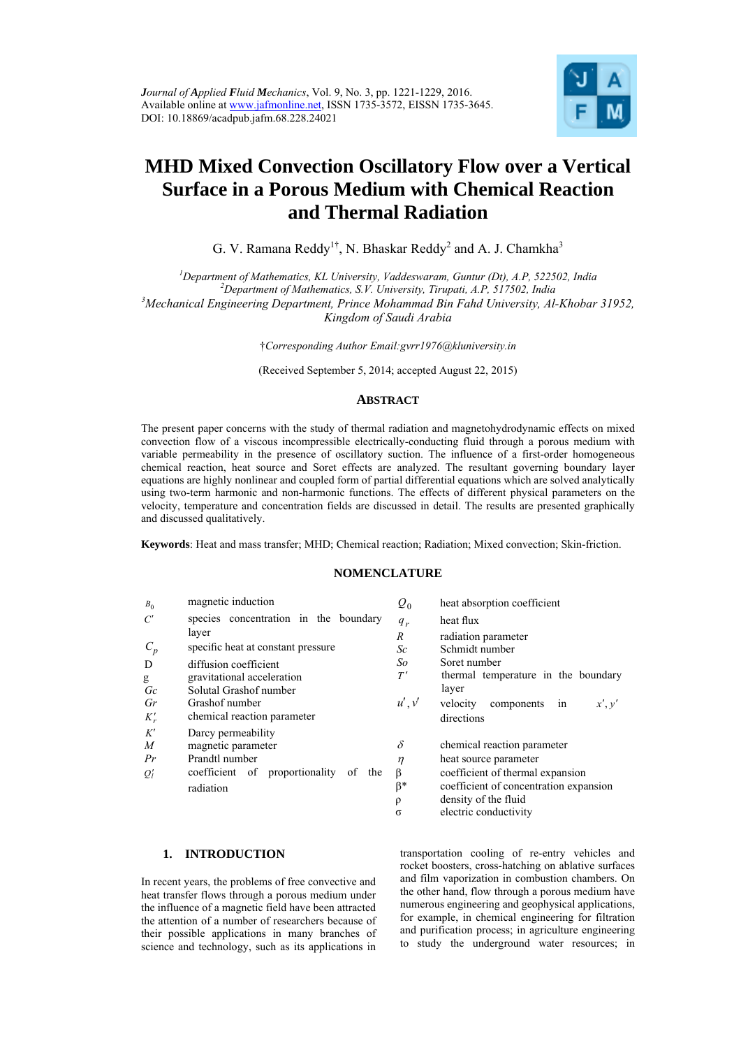

# **MHD Mixed Convection Oscillatory Flow over a Vertical Surface in a Porous Medium with Chemical Reaction and Thermal Radiation**

G. V. Ramana Reddy<sup>1†</sup>, N. Bhaskar Reddy<sup>2</sup> and A. J. Chamkha<sup>3</sup>

<sup>1</sup>Department of Mathematics, KL University, Vaddeswaram, Guntur (Dt), A.P, 522502, India <sup>2</sup>Department of Mathematics, S.V. University, Timmati, A.D. 517502, India *Department of Mathematics, S.V. University, Tirupati, A.P, 517502, India 3 Mechanical Engineering Department, Prince Mohammad Bin Fahd University, Al-Khobar 31952, Kingdom of Saudi Arabia* 

†*Corresponding Author Email:gvrr1976@kluniversity.in* 

(Received September 5, 2014; accepted August 22, 2015)

# **ABSTRACT**

The present paper concerns with the study of thermal radiation and magnetohydrodynamic effects on mixed convection flow of a viscous incompressible electrically-conducting fluid through a porous medium with variable permeability in the presence of oscillatory suction. The influence of a first-order homogeneous chemical reaction, heat source and Soret effects are analyzed. The resultant governing boundary layer equations are highly nonlinear and coupled form of partial differential equations which are solved analytically using two-term harmonic and non-harmonic functions. The effects of different physical parameters on the velocity, temperature and concentration fields are discussed in detail. The results are presented graphically and discussed qualitatively.

**Keywords**: Heat and mass transfer; MHD; Chemical reaction; Radiation; Mixed convection; Skin-friction.

# **NOMENCLATURE**

| $B_0$          | magnetic induction                             | $\varrho_{\scriptscriptstyle 0}$ | heat absorption coefficient            |
|----------------|------------------------------------------------|----------------------------------|----------------------------------------|
| C'             | species concentration in the boundary          | $q_r$                            | heat flux                              |
|                | layer                                          | $\boldsymbol{R}$                 | radiation parameter                    |
| $C_p$          | specific heat at constant pressure             | Sc                               | Schmidt number                         |
| D              | diffusion coefficient                          | So                               | Soret number                           |
| g              | gravitational acceleration                     | T'                               | thermal temperature in the boundary    |
| Gc             | Solutal Grashof number                         |                                  | layer                                  |
| Gr             | Grashof number                                 | u', v'                           | velocity<br>components<br>in<br>x', y' |
| $K'_r$         | chemical reaction parameter                    |                                  | directions                             |
| K'             | Darcy permeability                             |                                  |                                        |
| $\overline{M}$ | magnetic parameter                             | $\delta$                         | chemical reaction parameter            |
| Pr             | Prandtl number                                 | $\eta$                           | heat source parameter                  |
| $Q'_l$         | proportionality<br>coefficient of<br>of<br>the | β                                | coefficient of thermal expansion       |
|                | radiation                                      | β*                               | coefficient of concentration expansion |
|                |                                                | $\rho$                           | density of the fluid                   |
|                |                                                | σ                                | electric conductivity                  |

## **1. INTRODUCTION**

In recent years, the problems of free convective and heat transfer flows through a porous medium under the influence of a magnetic field have been attracted the attention of a number of researchers because of their possible applications in many branches of science and technology, such as its applications in

transportation cooling of re-entry vehicles and rocket boosters, cross-hatching on ablative surfaces and film vaporization in combustion chambers. On the other hand, flow through a porous medium have numerous engineering and geophysical applications, for example, in chemical engineering for filtration and purification process; in agriculture engineering to study the underground water resources; in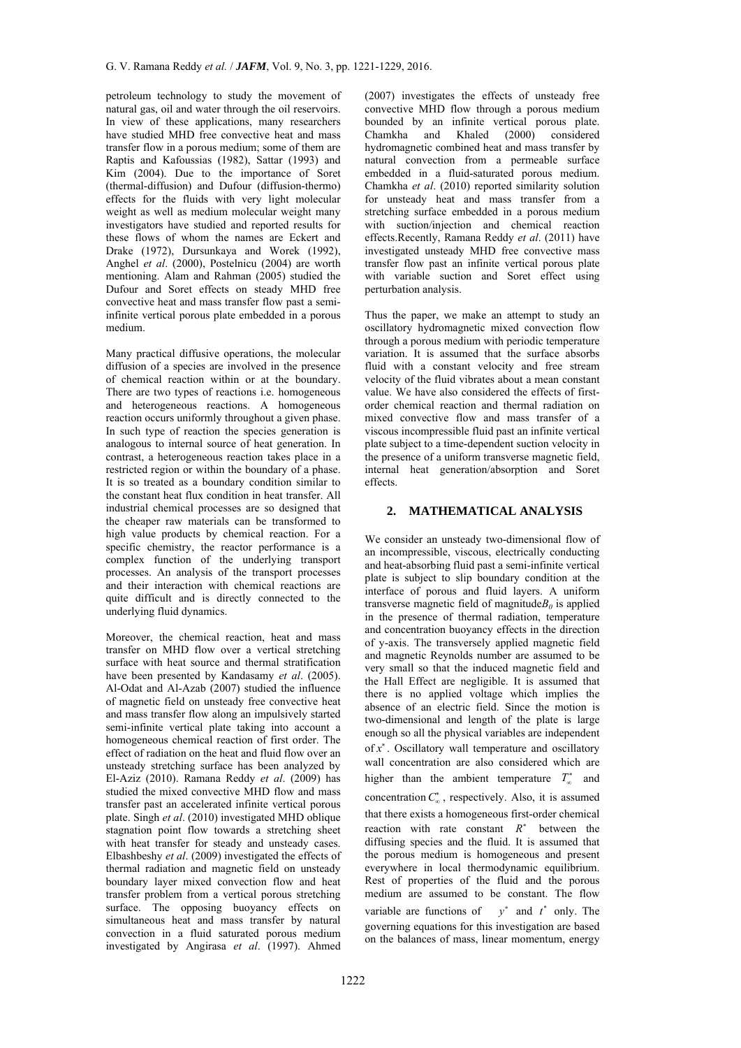petroleum technology to study the movement of natural gas, oil and water through the oil reservoirs. In view of these applications, many researchers have studied MHD free convective heat and mass transfer flow in a porous medium; some of them are Raptis and Kafoussias (1982), Sattar (1993) and Kim (2004). Due to the importance of Soret (thermal-diffusion) and Dufour (diffusion-thermo) effects for the fluids with very light molecular weight as well as medium molecular weight many investigators have studied and reported results for these flows of whom the names are Eckert and Drake (1972), Dursunkaya and Worek (1992), Anghel *et al*. (2000), Postelnicu (2004) are worth mentioning. Alam and Rahman (2005) studied the Dufour and Soret effects on steady MHD free convective heat and mass transfer flow past a semiinfinite vertical porous plate embedded in a porous medium.

Many practical diffusive operations, the molecular diffusion of a species are involved in the presence of chemical reaction within or at the boundary. There are two types of reactions i.e. homogeneous and heterogeneous reactions. A homogeneous reaction occurs uniformly throughout a given phase. In such type of reaction the species generation is analogous to internal source of heat generation. In contrast, a heterogeneous reaction takes place in a restricted region or within the boundary of a phase. It is so treated as a boundary condition similar to the constant heat flux condition in heat transfer. All industrial chemical processes are so designed that the cheaper raw materials can be transformed to high value products by chemical reaction. For a specific chemistry, the reactor performance is a complex function of the underlying transport processes. An analysis of the transport processes and their interaction with chemical reactions are quite difficult and is directly connected to the underlying fluid dynamics.

Moreover, the chemical reaction, heat and mass transfer on MHD flow over a vertical stretching surface with heat source and thermal stratification have been presented by Kandasamy *et al*. (2005). Al-Odat and Al-Azab (2007) studied the influence of magnetic field on unsteady free convective heat and mass transfer flow along an impulsively started semi-infinite vertical plate taking into account a homogeneous chemical reaction of first order. The effect of radiation on the heat and fluid flow over an unsteady stretching surface has been analyzed by El-Aziz (2010). Ramana Reddy *et al*. (2009) has studied the mixed convective MHD flow and mass transfer past an accelerated infinite vertical porous plate. Singh *et al*. (2010) investigated MHD oblique stagnation point flow towards a stretching sheet with heat transfer for steady and unsteady cases. Elbashbeshy *et al*. (2009) investigated the effects of thermal radiation and magnetic field on unsteady boundary layer mixed convection flow and heat transfer problem from a vertical porous stretching surface. The opposing buoyancy effects on simultaneous heat and mass transfer by natural convection in a fluid saturated porous medium investigated by Angirasa *et al*. (1997). Ahmed

(2007) investigates the effects of unsteady free convective MHD flow through a porous medium bounded by an infinite vertical porous plate. Chamkha and Khaled (2000) considered hydromagnetic combined heat and mass transfer by natural convection from a permeable surface embedded in a fluid-saturated porous medium. Chamkha *et al*. (2010) reported similarity solution for unsteady heat and mass transfer from a stretching surface embedded in a porous medium with suction/injection and chemical reaction effects.Recently, Ramana Reddy *et al*. (2011) have investigated unsteady MHD free convective mass transfer flow past an infinite vertical porous plate with variable suction and Soret effect using perturbation analysis.

Thus the paper, we make an attempt to study an oscillatory hydromagnetic mixed convection flow through a porous medium with periodic temperature variation. It is assumed that the surface absorbs fluid with a constant velocity and free stream velocity of the fluid vibrates about a mean constant value. We have also considered the effects of firstorder chemical reaction and thermal radiation on mixed convective flow and mass transfer of a viscous incompressible fluid past an infinite vertical plate subject to a time-dependent suction velocity in the presence of a uniform transverse magnetic field, internal heat generation/absorption and Soret effects.

# **2. MATHEMATICAL ANALYSIS**

We consider an unsteady two-dimensional flow of an incompressible, viscous, electrically conducting and heat-absorbing fluid past a semi-infinite vertical plate is subject to slip boundary condition at the interface of porous and fluid layers. A uniform transverse magnetic field of magnitude $B_0$  is applied in the presence of thermal radiation, temperature and concentration buoyancy effects in the direction of y-axis. The transversely applied magnetic field and magnetic Reynolds number are assumed to be very small so that the induced magnetic field and the Hall Effect are negligible. It is assumed that there is no applied voltage which implies the absence of an electric field. Since the motion is two-dimensional and length of the plate is large enough so all the physical variables are independent of *x* . Oscillatory wall temperature and oscillatory wall concentration are also considered which are higher than the ambient temperature  $T_{\infty}^{*}$  and

concentration  $C_{\infty}^{*}$ , respectively. Also, it is assumed that there exists a homogeneous first-order chemical reaction with rate constant  $R^*$  between the diffusing species and the fluid. It is assumed that the porous medium is homogeneous and present everywhere in local thermodynamic equilibrium. Rest of properties of the fluid and the porous medium are assumed to be constant. The flow variable are functions of  $v^*$  and  $t^*$  only. The governing equations for this investigation are based on the balances of mass, linear momentum, energy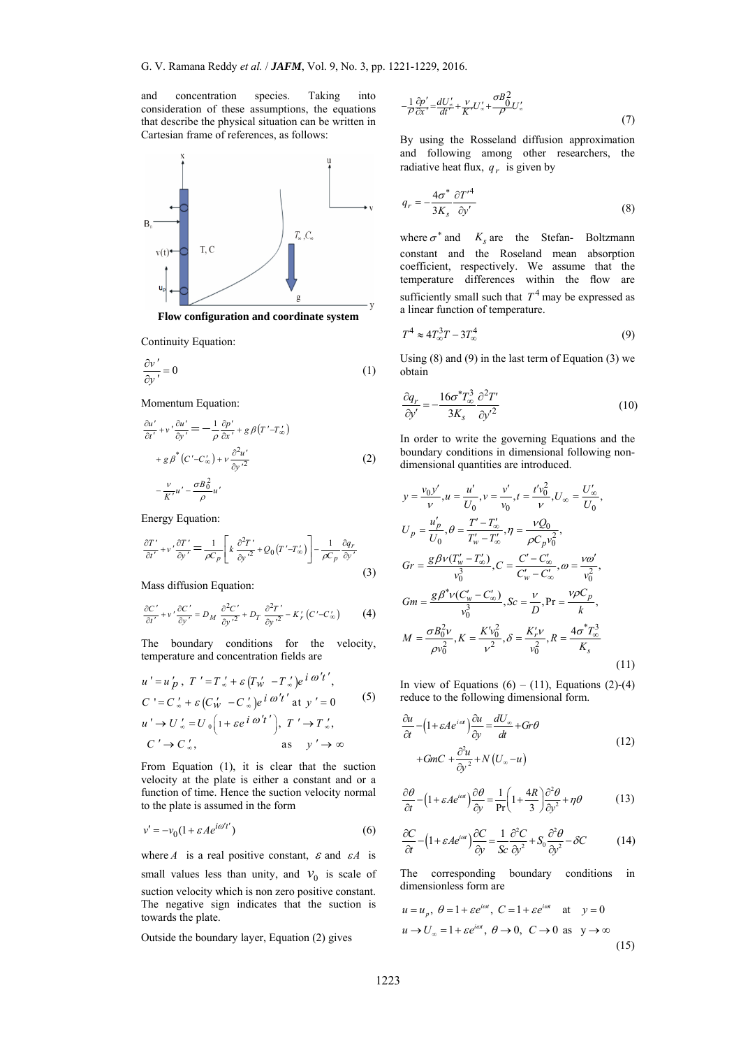and concentration species. Taking into consideration of these assumptions, the equations that describe the physical situation can be written in Cartesian frame of references, as follows:



**Flow configuration and coordinate system** 

Continuity Equation:

$$
\frac{\partial v'}{\partial y'} = 0\tag{1}
$$

Momentum Equation:

$$
\frac{\partial u'}{\partial t'} + v' \frac{\partial u'}{\partial y'} = -\frac{1}{\rho} \frac{\partial p'}{\partial x'} + g \beta (T' - T'_{\infty})
$$
  
+  $g \beta^* (C' - C'_{\infty}) + v \frac{\partial^2 u'}{\partial y'^2}$   
-  $\frac{v}{K'} u' - \frac{\sigma B_0^2}{\rho} u'$  (2)

Energy Equation:

$$
\frac{\partial T'}{\partial t'} + v' \frac{\partial T'}{\partial y'} = \frac{1}{\rho C_p} \left[ k \frac{\partial^2 T'}{\partial y'^2} + Q_0 \left( T' - T'_{\infty} \right) \right] - \frac{1}{\rho C_p} \frac{\partial q_r}{\partial y'}
$$
\n(3)

Mass diffusion Equation:

$$
\frac{\partial C'}{\partial t'} + v' \frac{\partial C'}{\partial y'} = D_M \frac{\partial^2 C'}{\partial y'^2} + D_T \frac{\partial^2 T'}{\partial y'^2} - K'_r(C' - C'_\infty)
$$
 (4)

The boundary conditions for the velocity, temperature and concentration fields are

$$
u' = u'_{p}, T' = T'_{\infty} + \varepsilon (T'_{w} - T'_{\infty}) e^{i \omega' t'},
$$
  
\n
$$
C' = C'_{\infty} + \varepsilon (C'_{w} - C'_{\infty}) e^{i \omega' t'} \text{ at } y' = 0
$$
  
\n
$$
u' \rightarrow U'_{\infty} = U_{0} \left( 1 + \varepsilon e^{i \omega' t'} \right), T' \rightarrow T'_{\infty},
$$
  
\n
$$
C' \rightarrow C'_{\infty}, \qquad \text{as} \qquad y' \rightarrow \infty
$$

From Equation (1), it is clear that the suction velocity at the plate is either a constant and or a function of time. Hence the suction velocity normal to the plate is assumed in the form

$$
v' = -v_0(1 + \varepsilon A e^{i\omega' t'})
$$
\n(6)

where *A* is a real positive constant,  $\varepsilon$  and  $\varepsilon A$  is small values less than unity, and  $v_0$  is scale of suction velocity which is non zero positive constant. The negative sign indicates that the suction is towards the plate.

Outside the boundary layer, Equation (2) gives

$$
-\frac{1}{\rho}\frac{\partial p'}{\partial x'} = \frac{dU'_x}{dt'} + \frac{V}{K'}U'_x + \frac{\sigma B_0^2}{\rho}U'_x\tag{7}
$$

By using the Rosseland diffusion approximation and following among other researchers, the radiative heat flux,  $q<sub>r</sub>$  is given by

$$
q_r = -\frac{4\sigma^*}{3K_s} \frac{\partial T'^4}{\partial y'}
$$
 (8)

where  $\sigma^*$  and  $K_s$  are the Stefan- Boltzmann constant and the Roseland mean absorption coefficient, respectively. We assume that the temperature differences within the flow are sufficiently small such that  $T<sup>4</sup>$  may be expressed as a linear function of temperature.

$$
T^4 \approx 4T_{\infty}^3 T - 3T_{\infty}^4 \tag{9}
$$

Using  $(8)$  and  $(9)$  in the last term of Equation  $(3)$  we obtain

$$
\frac{\partial q_r}{\partial y'} = -\frac{16\sigma^* T_\infty^3}{3K_s} \frac{\partial^2 T'}{\partial y'^2}
$$
(10)

In order to write the governing Equations and the boundary conditions in dimensional following nondimensional quantities are introduced.

$$
y = \frac{v_0 y'}{\nu}, u = \frac{u'}{U_0}, v = \frac{v'}{v_0}, t = \frac{t' v_0^2}{\nu}, U_{\infty} = \frac{U'_{\infty}}{U_0},
$$
  
\n
$$
U_p = \frac{u'_p}{U_0}, \theta = \frac{T' - T'_{\infty}}{T'_{w} - T'_{\infty}}, \eta = \frac{\nu Q_0}{\rho C_p v_0^2},
$$
  
\n
$$
Gr = \frac{g \beta v (T'_{w} - T'_{\infty})}{v_0^3}, C = \frac{C' - C'_{\infty}}{C'_{w} - C'_{\infty}}, \omega = \frac{\nu \omega'}{v_0^2},
$$
  
\n
$$
Gm = \frac{g \beta^* v (C'_{w} - C'_{\infty})}{v_0^3}, Sc = \frac{\nu}{D}, \Pr = \frac{\nu \rho C_p}{k},
$$
  
\n
$$
M = \frac{\sigma B_0^2 \nu}{\rho v_0^2}, K = \frac{K' v_0^2}{\nu^2}, \delta = \frac{K'_{r} \nu}{v_0^2}, R = \frac{4\sigma^* T_{\infty}^3}{K_s}
$$
  
\n(11)

In view of Equations  $(6) - (11)$ , Equations  $(2)-(4)$ reduce to the following dimensional form.

$$
\frac{\partial u}{\partial t} - \left(1 + \varepsilon A e^{i\alpha t}\right) \frac{\partial u}{\partial y} = \frac{dU_x}{dt} + Gr\theta
$$
\n
$$
+ GmC + \frac{\partial^2 u}{\partial y^2} + N\left(U_x - u\right)
$$
\n(12)

$$
\frac{\partial \theta}{\partial t} - \left(1 + \varepsilon A e^{i\omega t}\right) \frac{\partial \theta}{\partial y} = \frac{1}{\text{Pr}} \left(1 + \frac{4R}{3}\right) \frac{\partial^2 \theta}{\partial y^2} + \eta \theta \tag{13}
$$

$$
\frac{\partial C}{\partial t} - \left(1 + \varepsilon A e^{i\alpha t}\right) \frac{\partial C}{\partial y} = \frac{1}{Sc} \frac{\partial^2 C}{\partial y^2} + S_0 \frac{\partial^2 \theta}{\partial y^2} - \delta C \tag{14}
$$

The corresponding boundary conditions in dimensionless form are

$$
u = u_p, \ \theta = 1 + \varepsilon e^{i\omega t}, \ C = 1 + \varepsilon e^{i\omega t} \quad \text{at} \quad y = 0
$$
  

$$
u \to U_{\infty} = 1 + \varepsilon e^{i\omega t}, \ \theta \to 0, \ C \to 0 \text{ as } y \to \infty
$$
 (15)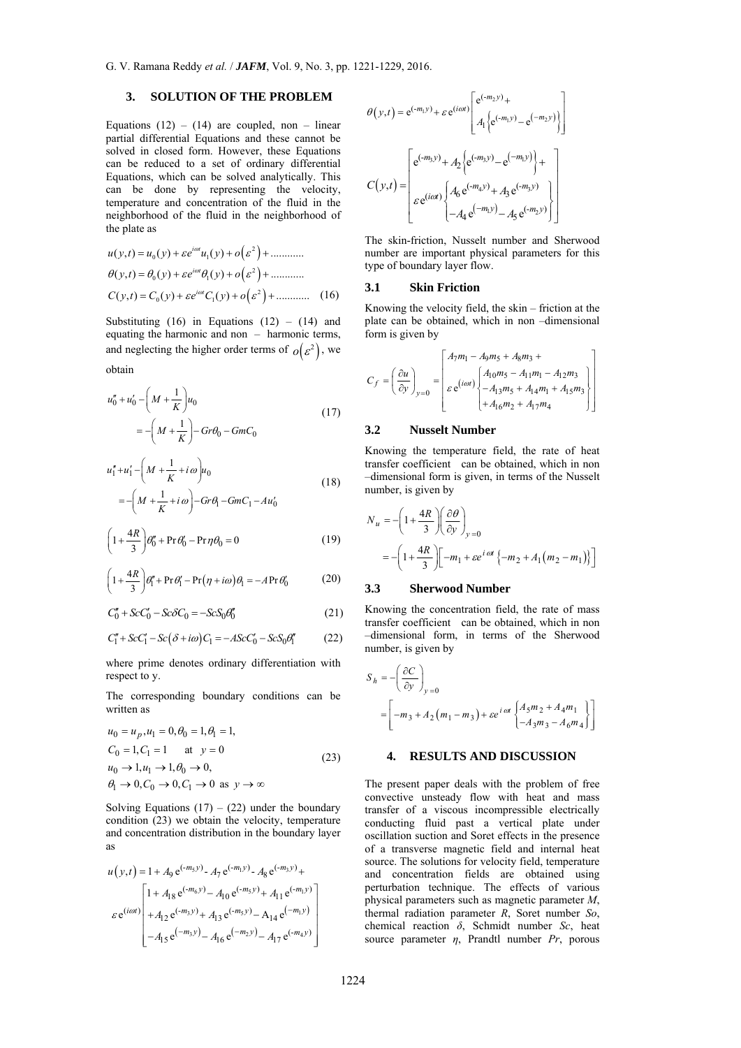# **3. SOLUTION OF THE PROBLEM**

Equations  $(12) - (14)$  are coupled, non – linear partial differential Equations and these cannot be solved in closed form. However, these Equations can be reduced to a set of ordinary differential Equations, which can be solved analytically. This can be done by representing the velocity, temperature and concentration of the fluid in the neighborhood of the fluid in the neighborhood of the plate as

$$
u(y,t) = u_0(y) + \varepsilon e^{i\omega t} u_1(y) + o(\varepsilon^2) + \dots
$$
  
\n
$$
\theta(y,t) = \theta_0(y) + \varepsilon e^{i\omega t} \theta_1(y) + o(\varepsilon^2) + \dots
$$
  
\n
$$
C(y,t) = C_0(y) + \varepsilon e^{i\omega t} C_1(y) + o(\varepsilon^2) + \dots
$$
 (16)

Substituting  $(16)$  in Equations  $(12) - (14)$  and equating the harmonic and non – harmonic terms, and neglecting the higher order terms of  $o(\varepsilon^2)$ , we obtain

$$
u''_0 + u'_0 - \left(M + \frac{1}{K}\right)u_0
$$
  
= -\left(M + \frac{1}{K}\right) - Gr\theta\_0 - GmC\_0 (17)

$$
u_1'' + u_1' - \left(M + \frac{1}{K} + i\omega\right)u_0
$$
  
= -\left(M + \frac{1}{K} + i\omega\right) - Gr\theta\_1 - GmC\_1 - Au\_0' (18)

$$
\left(1 + \frac{4R}{3}\right)\theta_0'' + \Pr \theta_0' - \Pr \eta \theta_0 = 0\tag{19}
$$

$$
\left(1 + \frac{4R}{3}\right)\theta_1'' + \Pr\theta_1' - \Pr(\eta + i\omega)\theta_1 = -A\Pr\theta_0'
$$
 (20)

$$
C_0'' + ScC_0' - Sc\delta C_0 = -ScS_0\theta_0''
$$
\n(21)

$$
C''_1 + ScC'_1 - Sc(\delta + i\omega)C_1 = -AScC'_0 - ScS_0\theta''_1
$$
 (22)

where prime denotes ordinary differentiation with respect to y.

The corresponding boundary conditions can be written as

$$
u_0 = u_p, u_1 = 0, \theta_0 = 1, \theta_1 = 1,
$$
  
\n
$$
C_0 = 1, C_1 = 1 \quad \text{at } y = 0
$$
  
\n
$$
u_0 \rightarrow 1, u_1 \rightarrow 1, \theta_0 \rightarrow 0,
$$
  
\n
$$
\theta_1 \rightarrow 0, C_0 \rightarrow 0, C_1 \rightarrow 0 \text{ as } y \rightarrow \infty
$$
\n(23)

Solving Equations  $(17) - (22)$  under the boundary condition (23) we obtain the velocity, temperature and concentration distribution in the boundary layer as

$$
u(y,t) = 1 + A_9 e^{(-m_5 y)} - A_7 e^{(-m_1 y)} - A_8 e^{(-m_3 y)} +
$$
  

$$
\varepsilon e^{(i\omega t)} \begin{bmatrix} 1 + A_{18} e^{(-m_6 y)} - A_{10} e^{(-m_5 y)} + A_{11} e^{(-m_1 y)} \\ + A_{12} e^{(-m_3 y)} + A_{13} e^{(-m_5 y)} - A_{14} e^{(-m_1 y)} \\ -A_{15} e^{(-m_3 y)} - A_{16} e^{(-m_2 y)} - A_{17} e^{(-m_4 y)} \end{bmatrix}
$$

$$
\theta(y,t) = e^{(-m_1y)} + \varepsilon e^{(i\omega t)} \begin{bmatrix} e^{(-m_2y)} + \\ A_1 \Bige^{(-m_1y)} - e^{(-m_2y)} \Bigg] \\ A_2 \Bige^{(-m_3y)} + A_3 \Bige^{(-m_1y)} - e^{(-m_1y)} \Bigg\} + \\ C(y,t) = \begin{bmatrix} e^{(-m_3y)} + A_2 \Bige^{(-m_3y)} - e^{(-m_1y)} \Bigg) + \\ \varepsilon e^{(i\omega t)} \Bigg\{ A_6 e^{(-m_4y)} + A_3 e^{(-m_3y)} \Bigg\} \\ -A_4 e^{(-m_1y)} - A_5 e^{(-m_2y)} \Bigg\} \end{bmatrix}
$$

The skin-friction, Nusselt number and Sherwood number are important physical parameters for this type of boundary layer flow.

#### **3.1 Skin Friction**

Knowing the velocity field, the skin – friction at the plate can be obtained, which in non –dimensional form is given by

$$
C_f = \left(\frac{\partial u}{\partial y}\right)_{y=0} = \begin{bmatrix} A_7m_1 - A_9m_5 + A_8m_3 + \\ \vdots \\ \varepsilon e^{(i\omega t)} \begin{bmatrix} A_1_0m_5 - A_{11}m_1 - A_{12}m_3 \\ -A_{13}m_5 + A_{14}m_1 + A_{15}m_3 \\ + A_{16}m_2 + A_{17}m_4 \end{bmatrix} \end{bmatrix}
$$

## **3.2 Nusselt Number**

Knowing the temperature field, the rate of heat transfer coefficient can be obtained, which in non –dimensional form is given, in terms of the Nusselt number, is given by

$$
N_u = -\left(1 + \frac{4R}{3}\right) \left(\frac{\partial \theta}{\partial y}\right)_{y=0}
$$
  
= -\left(1 + \frac{4R}{3}\right) \left[-m\_1 + \varepsilon e^{i\alpha t} \left\{-m\_2 + A\_1(m\_2 - m\_1)\right\}\right]

#### **3.3 Sherwood Number**

Knowing the concentration field, the rate of mass transfer coefficient can be obtained, which in non –dimensional form, in terms of the Sherwood number, is given by

$$
S_h = -\left(\frac{\partial C}{\partial y}\right)_{y=0}
$$
  
=  $\left[-m_3 + A_2(m_1 - m_3) + \varepsilon e^{i\omega t} \begin{Bmatrix} A_5 m_2 + A_4 m_1 \\ -A_3 m_3 - A_6 m_4 \end{Bmatrix}\right]$ 

# **4. RESULTS AND DISCUSSION**

The present paper deals with the problem of free convective unsteady flow with heat and mass transfer of a viscous incompressible electrically conducting fluid past a vertical plate under oscillation suction and Soret effects in the presence of a transverse magnetic field and internal heat source. The solutions for velocity field, temperature and concentration fields are obtained using perturbation technique. The effects of various physical parameters such as magnetic parameter *M*, thermal radiation parameter *R*, Soret number *So*, chemical reaction *δ*, Schmidt number *Sc*, heat source parameter *η*, Prandtl number *Pr*, porous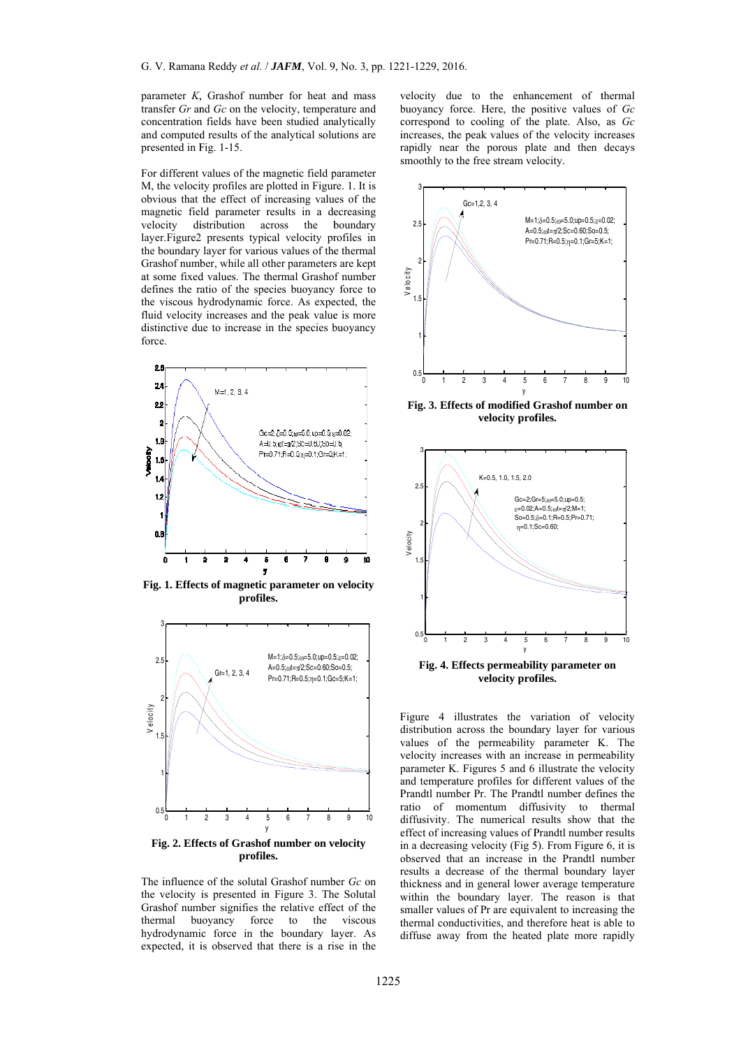parameter  $K$ , Grashof number for heat and mass transfer Gr and Gc on the velocity, temperature and concentration fields have been studied analytically and computed results of the analytical solutions are presented in F Fig. 1-15.

For different values of the magnetic field parameter M, the velocity profiles are plotted in Figure. 1. It is obvious that the effect of increasing values of the magnetic field parameter results in a decreasing velocity layer. Figure 2 presents typical velocity profiles in the boundary layer for various values of the thermal Grashof numb ber, while all o ther parameters s are kept at some fixed values. The thermal Grashof number defines the ratio of the species buoyancy force to the viscous hydrodynamic force. As expected, the fluid velocity increases and the peak value is more distinctive due to increase in the species buoyancy force. istribution ac cross the b boundary



Fig. 1. Effects of magnetic parameter on velocity profiles.



Fig. 2. Effects of Grashof number on velocity profiles.

The influence of the solutal Grashof number Gc on the velocity is presented in Figure 3. The Solutal Grashof number signifies the relative effect of the thermal buoyancy force to the viscous hydrodynamic force in the boundary layer. As expected, it is observed that there is a rise in the velocity due to the enhancement of thermal buoyancy force. Here, the positive values of Gc correspond to cooling of the plate. Also, as Gc increases, the peak values of the velocity increases rapidly near the porous plate and then decays smoothly to the free stream velocity.



Fig. 3. Effects of modified Grashof number on **velocity prof files.** 



Figure 4 illustrates the variation of velocity distribution across the boundary layer for various values of the permeability parameter K. The velocity increases with an increase in permeability parameter K. Figures 5 and 6 illustrate the velocity and temperature profiles for different values of the Prandtl number Pr. The Prandtl number defines the ratio of momentum diffusivity to thermal diffusivity. The numerical results show that the effect of increasing values of Prandtl number results in a decreasing velocity (Fig 5). From Figure 6, it is observed that an increase in the Prandtl number results a decrease of the thermal boundary layer thickness and in general lower average temperature within the boundary layer. The reason is that smaller values of Pr are equivalent to increasing the thermal conductivities, and therefore heat is able to diffuse away from the heated plate more rapidly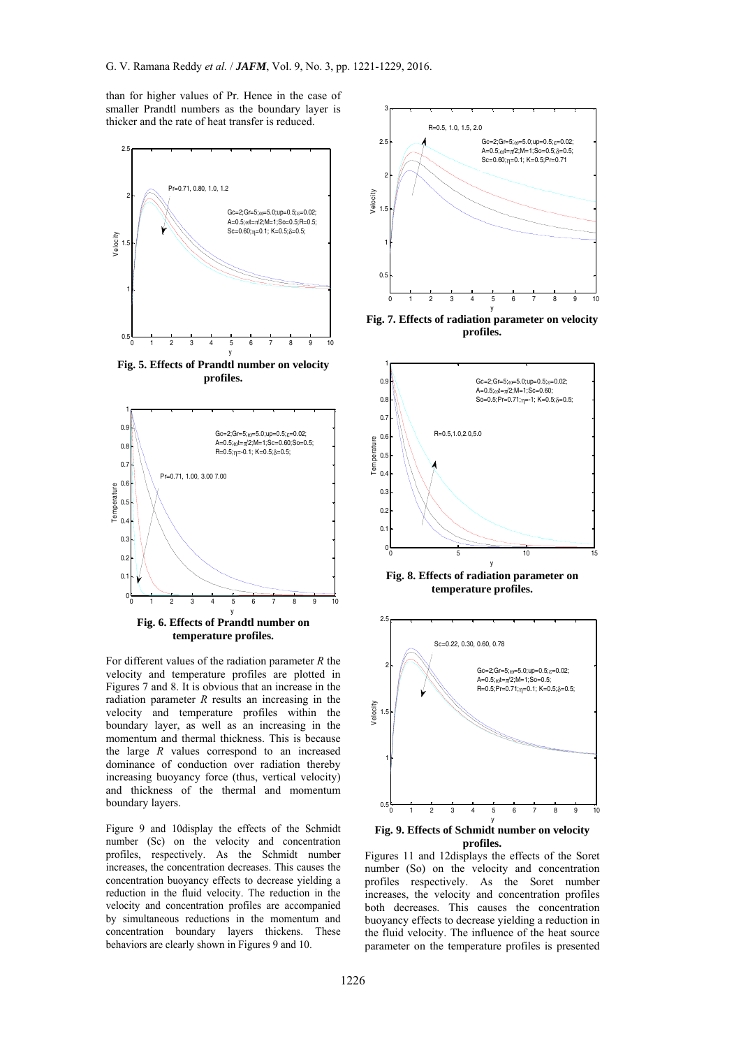than for higher values of Pr. Hence in the case of smaller Prandtl numbers as the boundary layer is thicker and the rate of heat transfer is reduced.



**Fig. 5. Effects of Prandtl number on velocity profiles.** 



**Fig. 6. Effects of Prandtl number on temperature profiles.** 

For different values of the radiation parameter *R* the velocity and temperature profiles are plotted in Figures 7 and 8. It is obvious that an increase in the radiation parameter *R* results an increasing in the velocity and temperature profiles within the boundary layer, as well as an increasing in the momentum and thermal thickness. This is because the large *R* values correspond to an increased dominance of conduction over radiation thereby increasing buoyancy force (thus, vertical velocity) and thickness of the thermal and momentum boundary layers.

Figure 9 and 10display the effects of the Schmidt number (Sc) on the velocity and concentration profiles, respectively. As the Schmidt number increases, the concentration decreases. This causes the concentration buoyancy effects to decrease yielding a reduction in the fluid velocity. The reduction in the velocity and concentration profiles are accompanied by simultaneous reductions in the momentum and concentration boundary layers thickens. These behaviors are clearly shown in Figures 9 and 10.



**Fig. 7. Effects of radiation parameter on velocity profiles.** 



**Fig. 8. Effects of radiation parameter on temperature profiles.** 



**profiles.** 

Figures 11 and 12displays the effects of the Soret number (So) on the velocity and concentration profiles respectively. As the Soret number increases, the velocity and concentration profiles both decreases. This causes the concentration buoyancy effects to decrease yielding a reduction in the fluid velocity. The influence of the heat source parameter on the temperature profiles is presented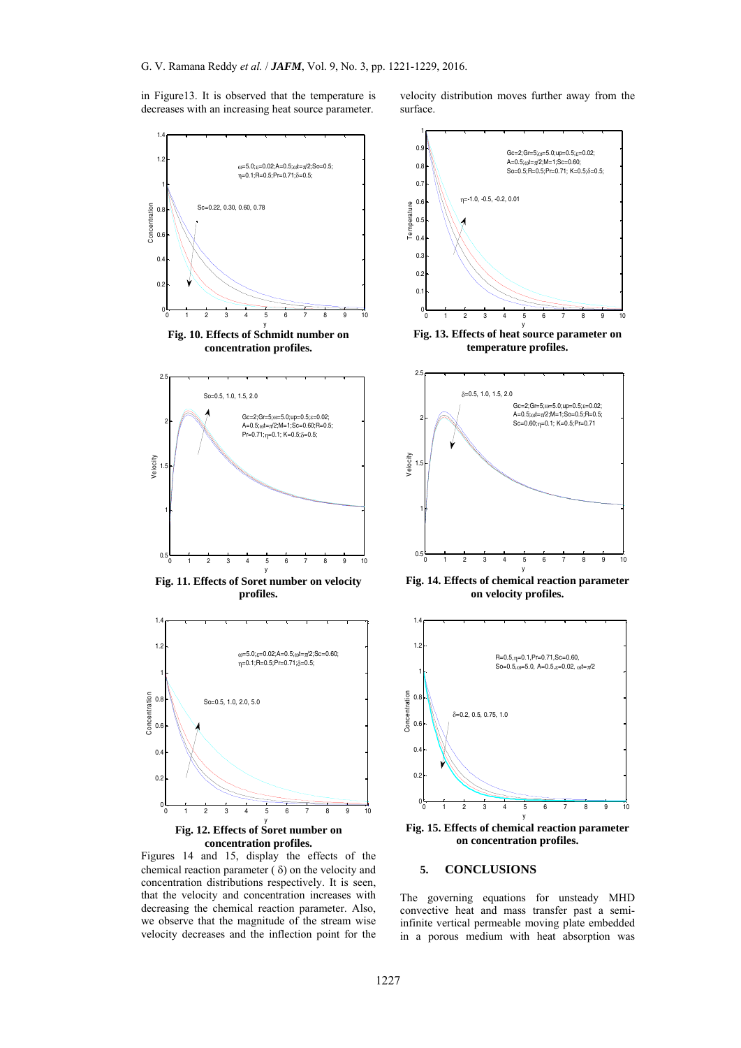in Figure13. It is observed that the temperature is decreases with an increasing heat source parameter.

velocity distribution moves further away from the surface.



Figures 14 and 15, display the effects of the chemical reaction parameter  $(\delta)$  on the velocity and concentration distributions respectively. It is seen, that the velocity and concentration increases with decreasing the chemical reaction parameter. Also, we observe that the magnitude of the stream wise velocity decreases and the inflection point for the



**Fig. 13. Effects of heat source parameter on temperature profiles.** 



**Fig. 14. Effects of chemical reaction parameter on velocity profiles.** 



**Fig. 15. Effects of chemical reaction parameter on concentration profiles.** 

## **5. CONCLUSIONS**

The governing equations for unsteady MHD convective heat and mass transfer past a semiinfinite vertical permeable moving plate embedded in a porous medium with heat absorption was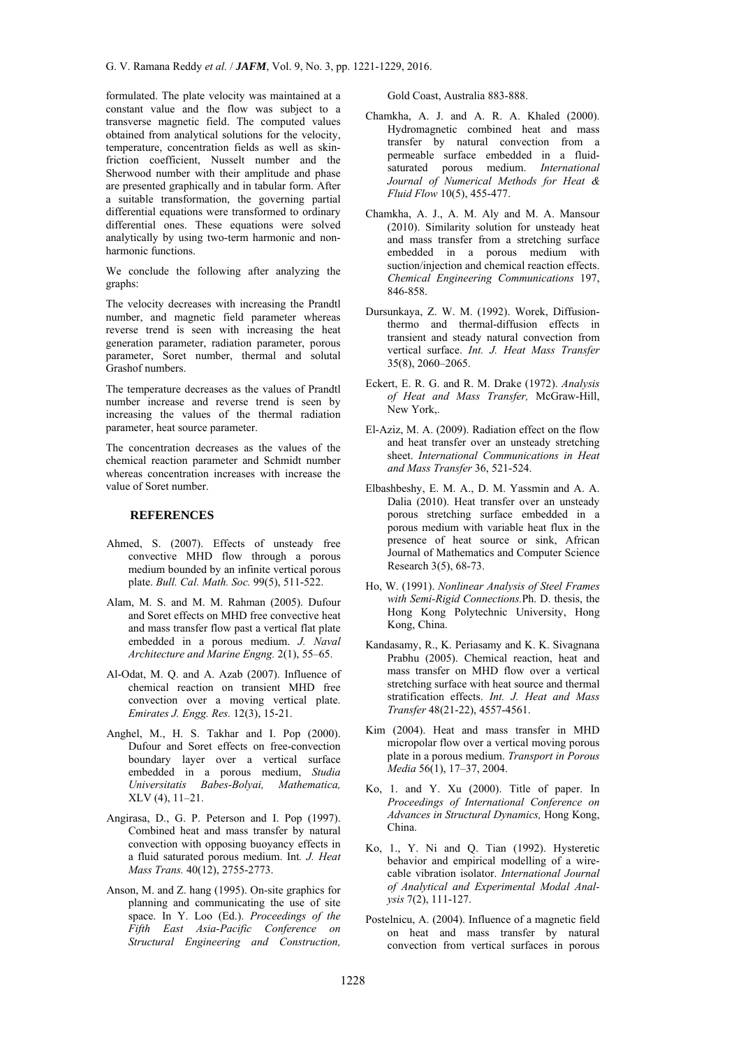formulated. The plate velocity was maintained at a constant value and the flow was subject to a transverse magnetic field. The computed values obtained from analytical solutions for the velocity, temperature, concentration fields as well as skinfriction coefficient, Nusselt number and the Sherwood number with their amplitude and phase are presented graphically and in tabular form. After a suitable transformation, the governing partial differential equations were transformed to ordinary differential ones. These equations were solved analytically by using two-term harmonic and nonharmonic functions.

We conclude the following after analyzing the graphs:

The velocity decreases with increasing the Prandtl number, and magnetic field parameter whereas reverse trend is seen with increasing the heat generation parameter, radiation parameter, porous parameter, Soret number, thermal and solutal Grashof numbers.

The temperature decreases as the values of Prandtl number increase and reverse trend is seen by increasing the values of the thermal radiation parameter, heat source parameter.

The concentration decreases as the values of the chemical reaction parameter and Schmidt number whereas concentration increases with increase the value of Soret number.

# **REFERENCES**

- Ahmed, S. (2007). Effects of unsteady free convective MHD flow through a porous medium bounded by an infinite vertical porous plate. *Bull. Cal. Math. Soc.* 99(5), 511-522.
- Alam, M. S. and M. M. Rahman (2005). Dufour and Soret effects on MHD free convective heat and mass transfer flow past a vertical flat plate embedded in a porous medium. *J. Naval Architecture and Marine Engng.* 2(1), 55–65.
- Al-Odat, M. Q. and A. Azab (2007). Influence of chemical reaction on transient MHD free convection over a moving vertical plate. *Emirates J. Engg. Res.* 12(3), 15-21.
- Anghel, M., H. S. Takhar and I. Pop (2000). Dufour and Soret effects on free-convection boundary layer over a vertical surface embedded in a porous medium, *Studia Universitatis Babes-Bolyai, Mathematica,*  XLV (4), 11–21.
- Angirasa, D., G. P. Peterson and I. Pop (1997). Combined heat and mass transfer by natural convection with opposing buoyancy effects in a fluid saturated porous medium. Int*. J. Heat Mass Trans.* 40(12), 2755-2773.
- Anson, M. and Z. hang (1995). On-site graphics for planning and communicating the use of site space. In Y. Loo (Ed.). *Proceedings of the Fifth East Asia-Pacific Conference on Structural Engineering and Construction,*

Gold Coast, Australia 883-888.

- Chamkha, A. J. and A. R. A. Khaled (2000). Hydromagnetic combined heat and mass transfer by natural convection from a permeable surface embedded in a fluidsaturated porous medium. *International Journal of Numerical Methods for Heat & Fluid Flow* 10(5), 455-477.
- Chamkha, A. J., A. M. Aly and M. A. Mansour (2010). Similarity solution for unsteady heat and mass transfer from a stretching surface embedded in a porous medium with suction/injection and chemical reaction effects. *Chemical Engineering Communications* 197, 846-858.
- Dursunkaya, Z. W. M. (1992). Worek, Diffusionthermo and thermal-diffusion effects in transient and steady natural convection from vertical surface. *Int. J. Heat Mass Transfer*  35(8), 2060–2065.
- Eckert, E. R. G. and R. M. Drake (1972). *Analysis of Heat and Mass Transfer,* McGraw-Hill, New York,.
- El-Aziz, M. A. (2009). Radiation effect on the flow and heat transfer over an unsteady stretching sheet. *International Communications in Heat and Mass Transfer* 36, 521-524.
- Elbashbeshy, E. M. A., D. M. Yassmin and A. A. Dalia (2010). Heat transfer over an unsteady porous stretching surface embedded in a porous medium with variable heat flux in the presence of heat source or sink, African Journal of Mathematics and Computer Science Research 3(5), 68-73.
- Ho, W. (1991). *Nonlinear Analysis of Steel Frames with Semi-Rigid Connections.*Ph. D. thesis, the Hong Kong Polytechnic University, Hong Kong, China.
- Kandasamy, R., K. Periasamy and K. K. Sivagnana Prabhu (2005). Chemical reaction, heat and mass transfer on MHD flow over a vertical stretching surface with heat source and thermal stratification effects. *Int. J. Heat and Mass Transfer* 48(21-22), 4557-4561.
- Kim (2004). Heat and mass transfer in MHD micropolar flow over a vertical moving porous plate in a porous medium. *Transport in Porous Media* 56(1), 17–37, 2004.
- Ko, 1. and Y. Xu (2000). Title of paper. In *Proceedings of International Conference on Advances in Structural Dynamics,* Hong Kong, China.
- Ko, 1., Y. Ni and Q. Tian (1992). Hysteretic behavior and empirical modelling of a wirecable vibration isolator. *International Journal of Analytical and Experimental Modal Analysis* 7(2), 111-127.
- Postelnicu, A. (2004). Influence of a magnetic field on heat and mass transfer by natural convection from vertical surfaces in porous